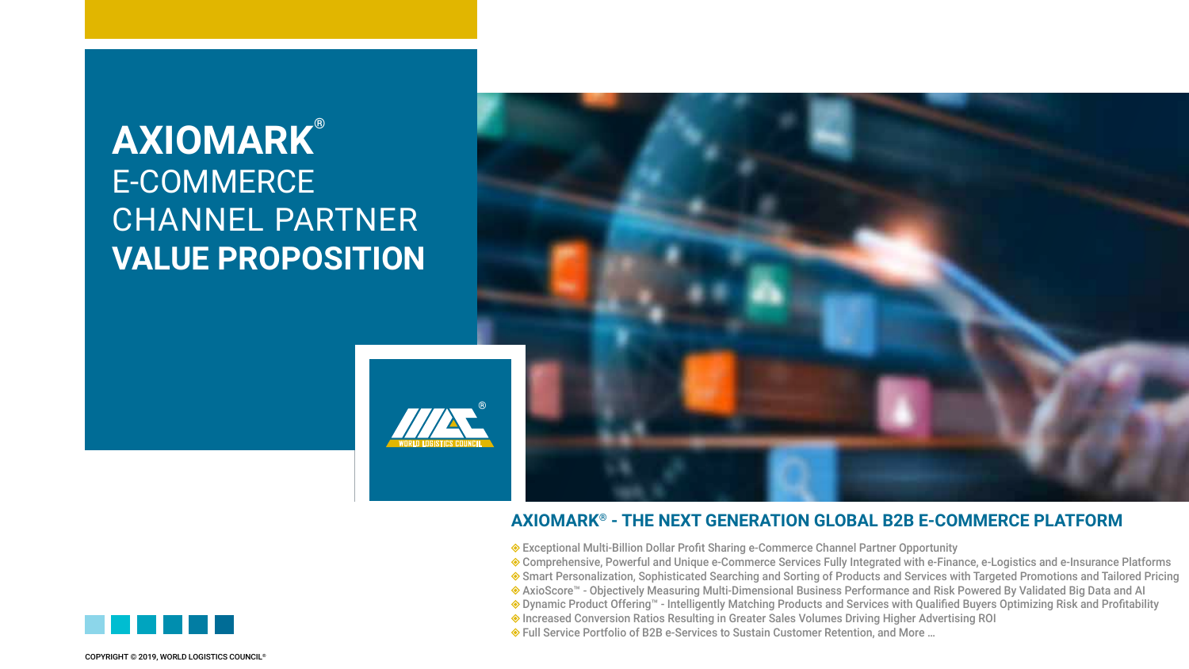## **AXIOMARK®** E-COMMERCE CHANNEL PARTNER **VALUE PROPOSITION**



### **AXIOMARK® - THE NEXT GENERATION GLOBAL B2B E-COMMERCE PLATFORM**

- Exceptional Multi-Billion Dollar Profit Sharing e-Commerce Channel Partner Opportunity
- Comprehensive, Powerful and Unique e-Commerce Services Fully Integrated with e-Finance, e-Logistics and e-Insurance Platforms
- Smart Personalization, Sophisticated Searching and Sorting of Products and Services with Targeted Promotions and Tailored Pricing
- AxioScore™ Objectively Measuring Multi-Dimensional Business Performance and Risk Powered By Validated Big Data and AI
- Dynamic Product Offering™ Intelligently Matching Products and Services with Qualified Buyers Optimizing Risk and Profitability
- Increased Conversion Ratios Resulting in Greater Sales Volumes Driving Higher Advertising ROI
- Full Service Portfolio of B2B e-Services to Sustain Customer Retention, and More …

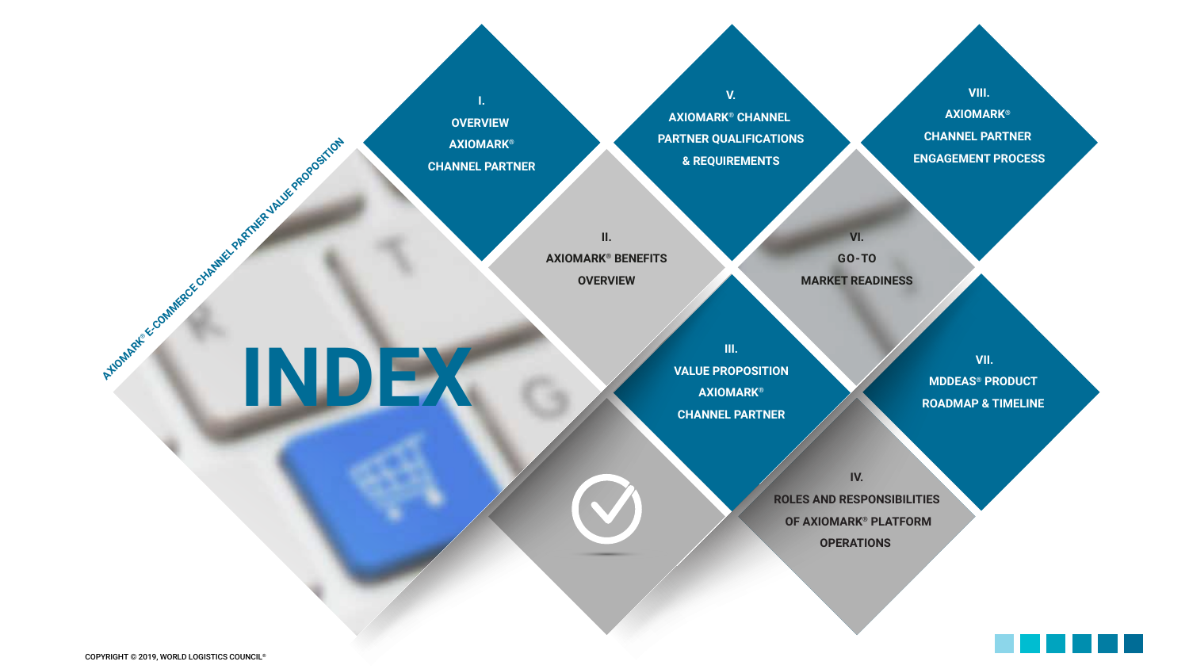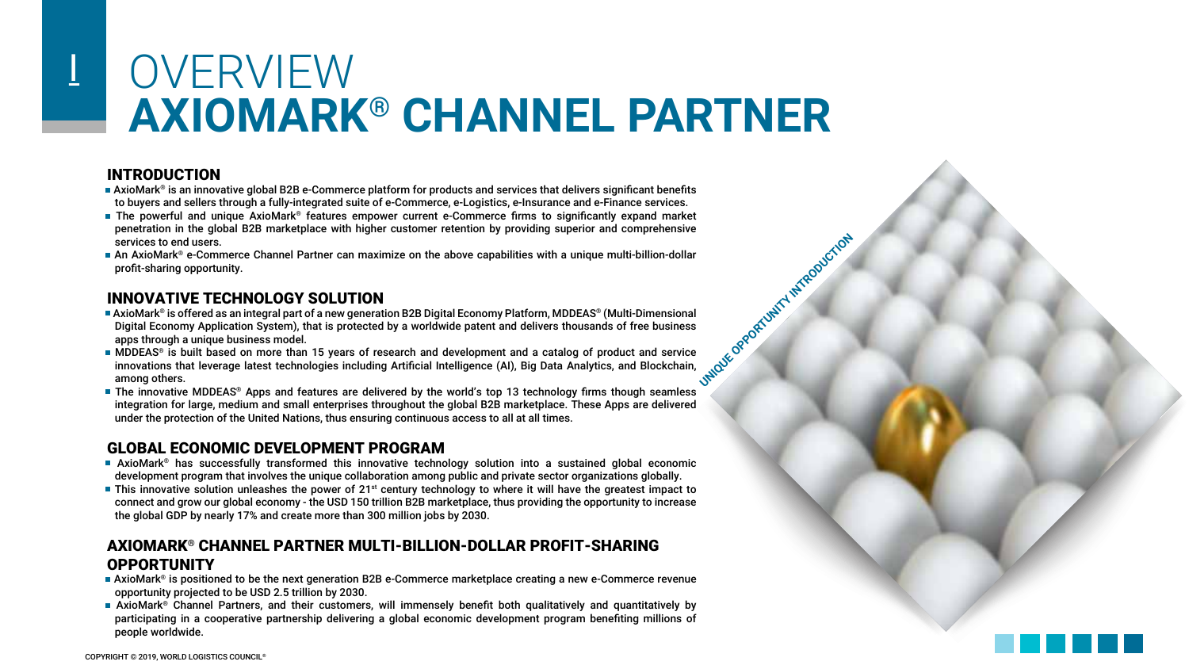# OVERVIEW **AXIOMARK® CHANNEL PARTNER**

#### INTRODUCTION

I

- AxioMark® is an innovative global B2B e-Commerce platform for products and services that delivers significant benefits to buyers and sellers through a fully-integrated suite of e-Commerce, e-Logistics, e-Insurance and e-Finance services.
- The powerful and unique AxioMark® features empower current e-Commerce firms to significantly expand market penetration in the global B2B marketplace with higher customer retention by providing superior and comprehensive services to end users.
- An AxioMark® e-Commerce Channel Partner can maximize on the above capabilities with a unique multi-billion-dollar profit-sharing opportunity.

#### INNOVATIVE TECHNOLOGY SOLUTION

- UNIQUE OPPORTUNITY INTRODUCTION • AxioMark® is offered as an integral part of a new generation B2B Digital Economy Platform, MDDEAS® (Multi-Dimensional Digital Economy Application System), that is protected by a worldwide patent and delivers thousands of free business apps through a unique business model.
- MDDEAS® is built based on more than 15 years of research and development and a catalog of product and service innovations that leverage latest technologies including Artificial Intelligence (AI), Big Data Analytics, and Blockchain, among others.
- **The innovative MDDEAS® Apps and features are delivered by the world's top 13 technology firms though seamless** integration for large, medium and small enterprises throughout the global B2B marketplace. These Apps are delivered under the protection of the United Nations, thus ensuring continuous access to all at all times.

### GLOBAL ECONOMIC DEVELOPMENT PROGRAM

- AxioMark® has successfully transformed this innovative technology solution into a sustained global economic development program that involves the unique collaboration among public and private sector organizations globally.
- **This innovative solution unleashes the power of 21st century technology to where it will have the greatest impact to** connect and grow our global economy - the USD 150 trillion B2B marketplace, thus providing the opportunity to increase the global GDP by nearly 17% and create more than 300 million jobs by 2030.

#### AXIOMARK® CHANNEL PARTNER MULTI-BILLION-DOLLAR PROFIT-SHARING **OPPORTUNITY**

- AxioMark® is positioned to be the next generation B2B e-Commerce marketplace creating a new e-Commerce revenue opportunity projected to be USD 2.5 trillion by 2030.
- AxioMark® Channel Partners, and their customers, will immensely benefit both qualitatively and quantitatively by participating in a cooperative partnership delivering a global economic development program benefiting millions of people worldwide.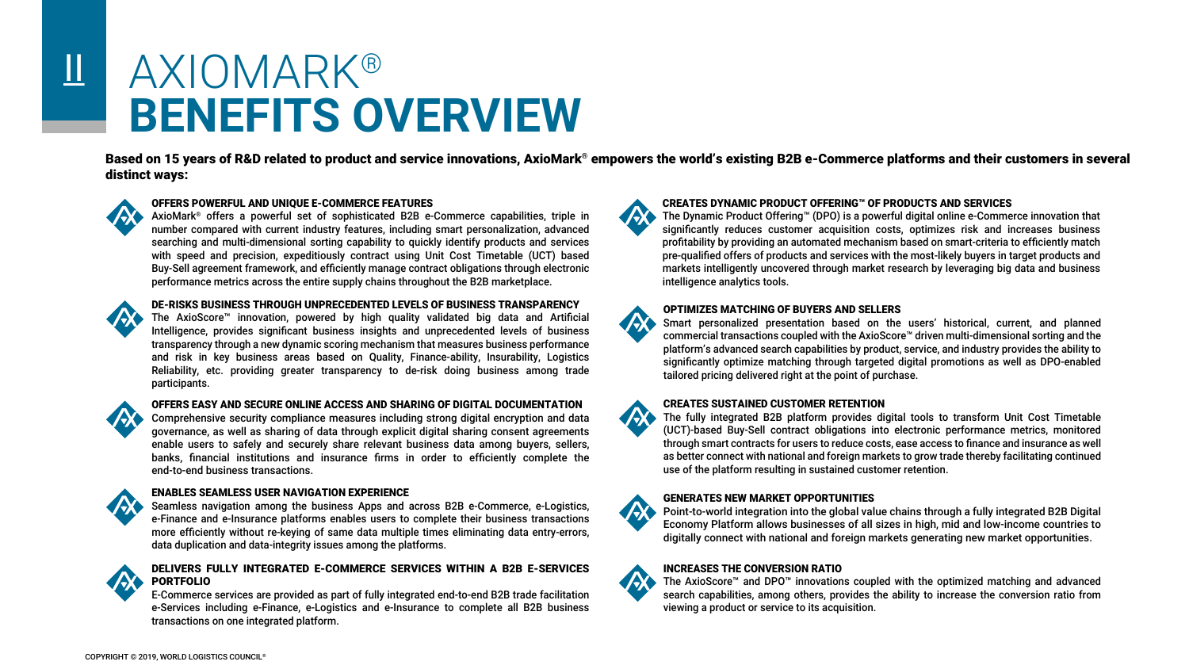## AXIOMARK® **BENEFITS OVERVIEW**

Based on 15 years of R&D related to product and service innovations, AxioMark® empowers the world's existing B2B e-Commerce platforms and their customers in several distinct ways:



 $\overline{\mathbf{u}}$ 

#### OFFERS POWERFUL AND UNIQUE E-COMMERCE FEATURES

AxioMark® offers a powerful set of sophisticated B2B e-Commerce capabilities, triple in number compared with current industry features, including smart personalization, advanced searching and multi-dimensional sorting capability to quickly identify products and services with speed and precision, expeditiously contract using Unit Cost Timetable (UCT) based Buy-Sell agreement framework, and efficiently manage contract obligations through electronic performance metrics across the entire supply chains throughout the B2B marketplace.



#### DE-RISKS BUSINESS THROUGH UNPRECEDENTED LEVELS OF BUSINESS TRANSPARENCY

The AxioScore™ innovation, powered by high quality validated big data and Artificial Intelligence, provides significant business insights and unprecedented levels of business transparency through a new dynamic scoring mechanism that measures business performance and risk in key business areas based on Quality, Finance-ability, Insurability, Logistics Reliability, etc. providing greater transparency to de-risk doing business among trade participants.



#### OFFERS EASY AND SECURE ONLINE ACCESS AND SHARING OF DIGITAL DOCUMENTATION

Comprehensive security compliance measures including strong digital encryption and data governance, as well as sharing of data through explicit digital sharing consent agreements enable users to safely and securely share relevant business data among buyers, sellers, banks, financial institutions and insurance firms in order to efficiently complete the end-to-end business transactions.

#### ENABLES SEAMLESS USER NAVIGATION EXPERIENCE

Seamless navigation among the business Apps and across B2B e-Commerce, e-Logistics, e-Finance and e-Insurance platforms enables users to complete their business transactions more efficiently without re-keying of same data multiple times eliminating data entry-errors, data duplication and data-integrity issues among the platforms.



#### DELIVERS FULLY INTEGRATED E-COMMERCE SERVICES WITHIN A B2B E-SERVICES PORTFOLIO

E-Commerce services are provided as part of fully integrated end-to-end B2B trade facilitation e-Services including e-Finance, e-Logistics and e-Insurance to complete all B2B business transactions on one integrated platform.



**TAX** 

#### CREATES DYNAMIC PRODUCT OFFERING™ OF PRODUCTS AND SERVICES

The Dynamic Product Offering™ (DPO) is a powerful digital online e-Commerce innovation that significantly reduces customer acquisition costs, optimizes risk and increases business profitability by providing an automated mechanism based on smart-criteria to efficiently match pre-qualified offers of products and services with the most-likely buyers in target products and markets intelligently uncovered through market research by leveraging big data and business intelligence analytics tools.

#### OPTIMIZES MATCHING OF BUYERS AND SELLERS

Smart personalized presentation based on the users' historical, current, and planned commercial transactions coupled with the AxioScore™ driven multi-dimensional sorting and the platform's advanced search capabilities by product, service, and industry provides the ability to significantly optimize matching through targeted digital promotions as well as DPO-enabled tailored pricing delivered right at the point of purchase.

#### CREATES SUSTAINED CUSTOMER RETENTION

The fully integrated B2B platform provides digital tools to transform Unit Cost Timetable (UCT)-based Buy-Sell contract obligations into electronic performance metrics, monitored through smart contracts for users to reduce costs, ease access to finance and insurance as well as better connect with national and foreign markets to grow trade thereby facilitating continued use of the platform resulting in sustained customer retention.

#### GENERATES NEW MARKET OPPORTUNITIES

Point-to-world integration into the global value chains through a fully integrated B2B Digital Economy Platform allows businesses of all sizes in high, mid and low-income countries to digitally connect with national and foreign markets generating new market opportunities.

#### INCREASES THE CONVERSION RATIO

The AxioScore™ and DPO™ innovations coupled with the optimized matching and advanced 75.0 search capabilities, among others, provides the ability to increase the conversion ratio from viewing a product or service to its acquisition.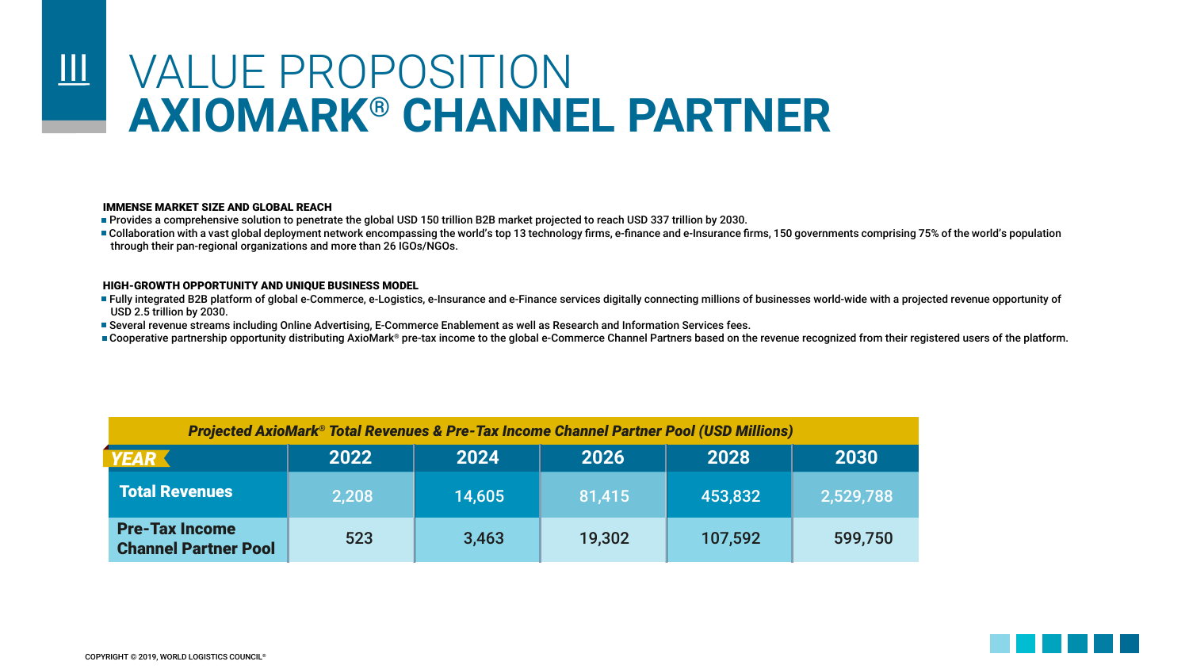### VALUE PROPOSITION **AXIOMARK® CHANNEL PARTNER**   $\mathbf{III}$

#### IMMENSE MARKET SIZE AND GLOBAL REACH

• Provides a comprehensive solution to penetrate the global USD 150 trillion B2B market projected to reach USD 337 trillion by 2030.

■ Collaboration with a vast global deployment network encompassing the world's top 13 technology firms, e-finance and e-Insurance firms, 150 governments comprising 75% of the world's population through their pan-regional organizations and more than 26 IGOs/NGOs.

#### HIGH-GROWTH OPPORTUNITY AND UNIQUE BUSINESS MODEL

- Fully integrated B2B platform of global e-Commerce, e-Logistics, e-Insurance and e-Finance services digitally connecting millions of businesses world-wide with a projected revenue opportunity of USD 2.5 trillion by 2030.
- Several revenue streams including Online Advertising, E-Commerce Enablement as well as Research and Information Services fees.
- Cooperative partnership opportunity distributing AxioMark® pre-tax income to the global e-Commerce Channel Partners based on the revenue recognized from their registered users of the platform.

| <b>Projected AxioMark® Total Revenues &amp; Pre-Tax Income Channel Partner Pool (USD Millions)</b> |       |        |        |         |           |  |  |  |  |  |  |  |  |
|----------------------------------------------------------------------------------------------------|-------|--------|--------|---------|-----------|--|--|--|--|--|--|--|--|
| <b>YEAR</b>                                                                                        | 2022  | 2024   | 2026   | 2028    | 2030      |  |  |  |  |  |  |  |  |
| <b>Total Revenues</b>                                                                              | 2,208 | 14,605 | 81,415 | 453,832 | 2,529,788 |  |  |  |  |  |  |  |  |
| <b>Pre-Tax Income</b><br><b>Channel Partner Pool</b>                                               | 523   | 3,463  | 19,302 | 107,592 | 599,750   |  |  |  |  |  |  |  |  |

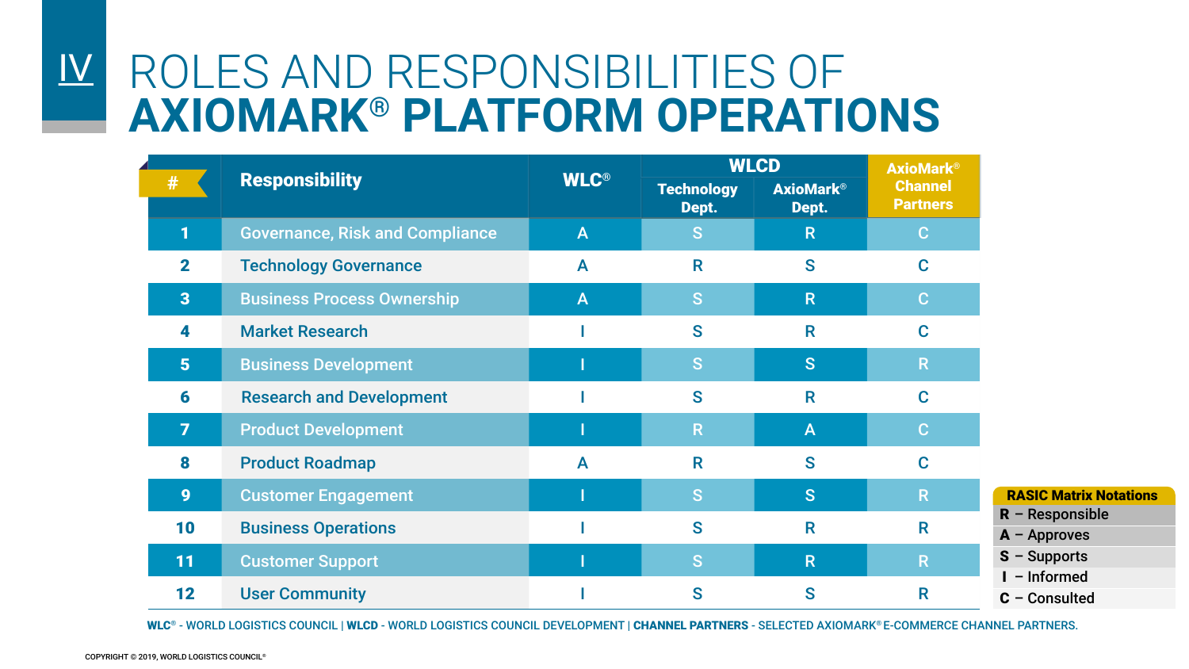### $|\underline{V}|$ ROLES AND RESPONSIBILITIES OF **AXIOMARK® PLATFORM OPERATIONS**

|                         |                                        |              |                            | <b>WLCD</b>               | <b>AxioMark®</b>                  |                                     |
|-------------------------|----------------------------------------|--------------|----------------------------|---------------------------|-----------------------------------|-------------------------------------|
| #                       | <b>Responsibility</b>                  | <b>WLC®</b>  | <b>Technology</b><br>Dept. | <b>AxioMark®</b><br>Dept. | <b>Channel</b><br><b>Partners</b> |                                     |
|                         | <b>Governance, Risk and Compliance</b> | $\mathsf{A}$ | <sub>S</sub>               | R                         | $\mathbf C$                       |                                     |
| $\overline{2}$          | <b>Technology Governance</b>           | $\mathsf{A}$ | R                          | S                         | $\mathbf C$                       |                                     |
| $\overline{\mathbf{3}}$ | <b>Business Process Ownership</b>      | $\mathsf{A}$ | <sub>S</sub>               | R.                        | $\mathbf C$                       |                                     |
| 4                       | <b>Market Research</b>                 |              | S                          | R                         | $\mathbf C$                       |                                     |
| $5\phantom{1}$          | <b>Business Development</b>            |              | <sub>S</sub>               | <sub>S</sub>              | $\overline{\mathsf{R}}$           |                                     |
| 6                       | <b>Research and Development</b>        |              | S                          | R                         | $\mathbf C$                       |                                     |
| 7                       | <b>Product Development</b>             |              | R                          | A                         | $\mathbf{C}$                      |                                     |
| 8                       | <b>Product Roadmap</b>                 | A            | R                          | S                         | $\mathbf C$                       |                                     |
| 9                       | <b>Customer Engagement</b>             |              | S                          | <sub>S</sub>              | $\mathsf R$                       | <b>RASIC Matrix Notations</b>       |
| 10                      | <b>Business Operations</b>             |              | S                          | R                         | $\mathsf{R}$                      | $R -$ Responsible<br>$A -$ Approves |
| 11                      | <b>Customer Support</b>                |              | ls,                        | R.                        | $\mathsf R$                       | $S -$ Supports                      |
| 12                      | <b>User Community</b>                  |              | S                          | S                         | R                                 | - Informed<br>$C -$ Consulted       |

WLC<sup>®</sup> - WORLD LOGISTICS COUNCIL | WLCD - WORLD LOGISTICS COUNCIL DEVELOPMENT | CHANNEL PARTNERS - SELECTED AXIOMARK® E-COMMERCE CHANNEL PARTNERS.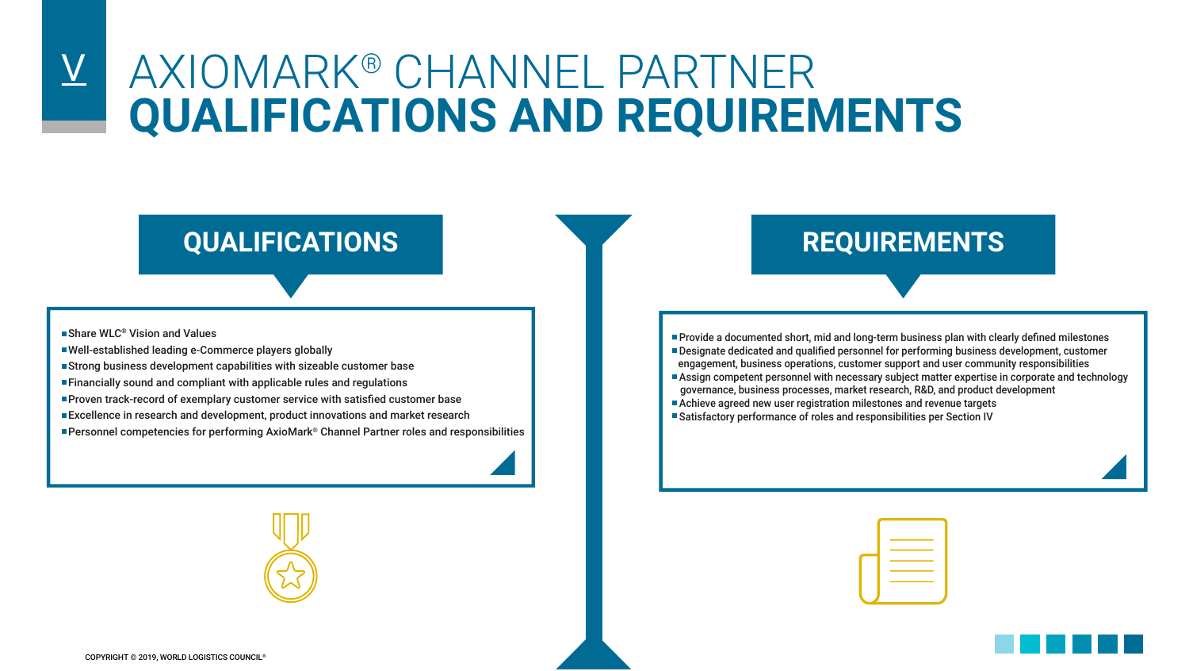## AXIOMARK® CHANNEL PARTNER **QUALIFICATIONS AND REQUIREMENTS**  $\overline{\mathsf{V}}$

### **QUALIFICATIONS REQUIREMENTS**

■ Share WLC<sup>®</sup> Vision and Values

- Well-established leading e-Commerce players globally
- Strong business development capabilities with sizeable customer base
- Financially sound and compliant with applicable rules and regulations
- Proven track-record of exemplary customer service with satisfied customer base
- **Excellence in research and development, product innovations and market research**
- Personnel competencies for performing AxioMark® Channel Partner roles and responsibilities

• Provide a documented short, mid and long-term business plan with clearly defined milestones • Designate dedicated and qualified personnel for performing business development, customer engagement, business operations, customer support and user community responsibilities

- Assign competent personnel with necessary subject matter expertise in corporate and technology governance, business processes, market research, R&D, and product development
- Achieve agreed new user registration milestones and revenue targets
- Satisfactory performance of roles and responsibilities per Section IV



| the contract of the contract of the contract of |
|-------------------------------------------------|
|                                                 |
|                                                 |
|                                                 |
|                                                 |
|                                                 |

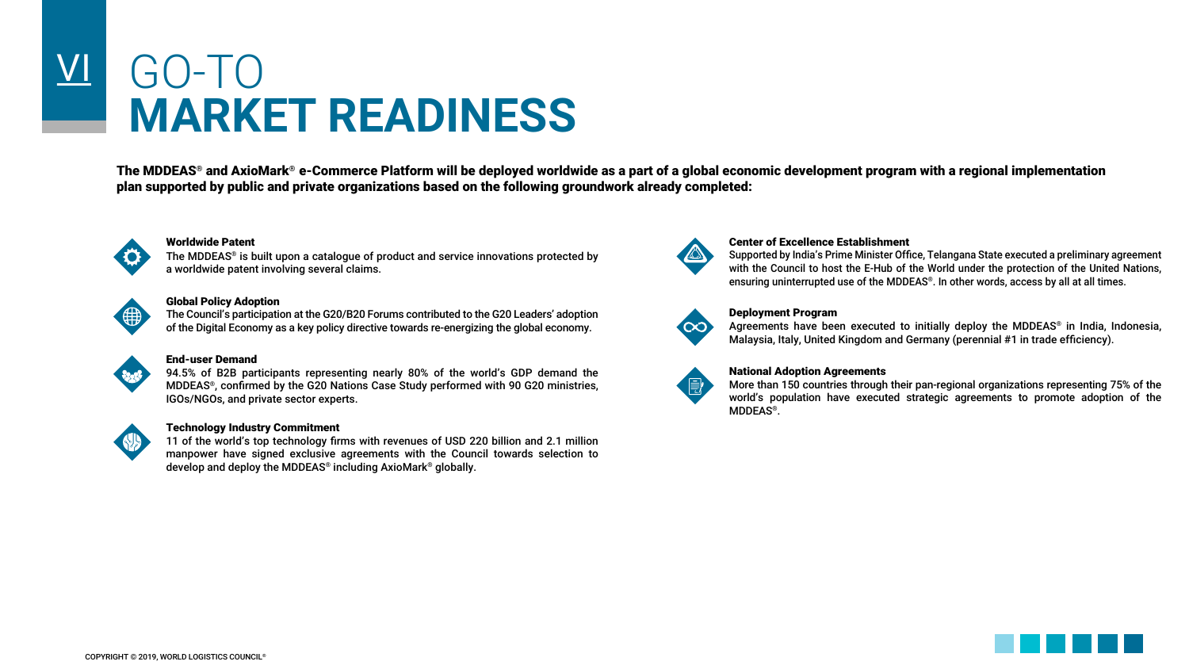# VI GO-TO **MARKET READINESS**

The MDDEAS® and AxioMark® e-Commerce Platform will be deployed worldwide as a part of a global economic development program with a regional implementation plan supported by public and private organizations based on the following groundwork already completed:



#### Worldwide Patent

The MDDEAS® is built upon a catalogue of product and service innovations protected by a worldwide patent involving several claims.



#### Global Policy Adoption

The Council's participation at the G20/B20 Forums contributed to the G20 Leaders' adoption of the Digital Economy as a key policy directive towards re-energizing the global economy.



#### End-user Demand

94.5% of B2B participants representing nearly 80% of the world's GDP demand the MDDEAS®, confirmed by the G20 Nations Case Study performed with 90 G20 ministries, IGOs/NGOs, and private sector experts.



#### Technology Industry Commitment

11 of the world's top technology firms with revenues of USD 220 billion and 2.1 million manpower have signed exclusive agreements with the Council towards selection to develop and deploy the MDDEAS® including AxioMark® globally.



#### Center of Excellence Establishment

Supported by India's Prime Minister Office, Telangana State executed a preliminary agreement with the Council to host the E-Hub of the World under the protection of the United Nations, ensuring uninterrupted use of the MDDEAS®. In other words, access by all at all times.



#### Deployment Program

Agreements have been executed to initially deploy the MDDEAS® in India, Indonesia, Malaysia, Italy, United Kingdom and Germany (perennial #1 in trade efficiency).



#### National Adoption Agreements

More than 150 countries through their pan-regional organizations representing 75% of the world's population have executed strategic agreements to promote adoption of the MDDEAS®.

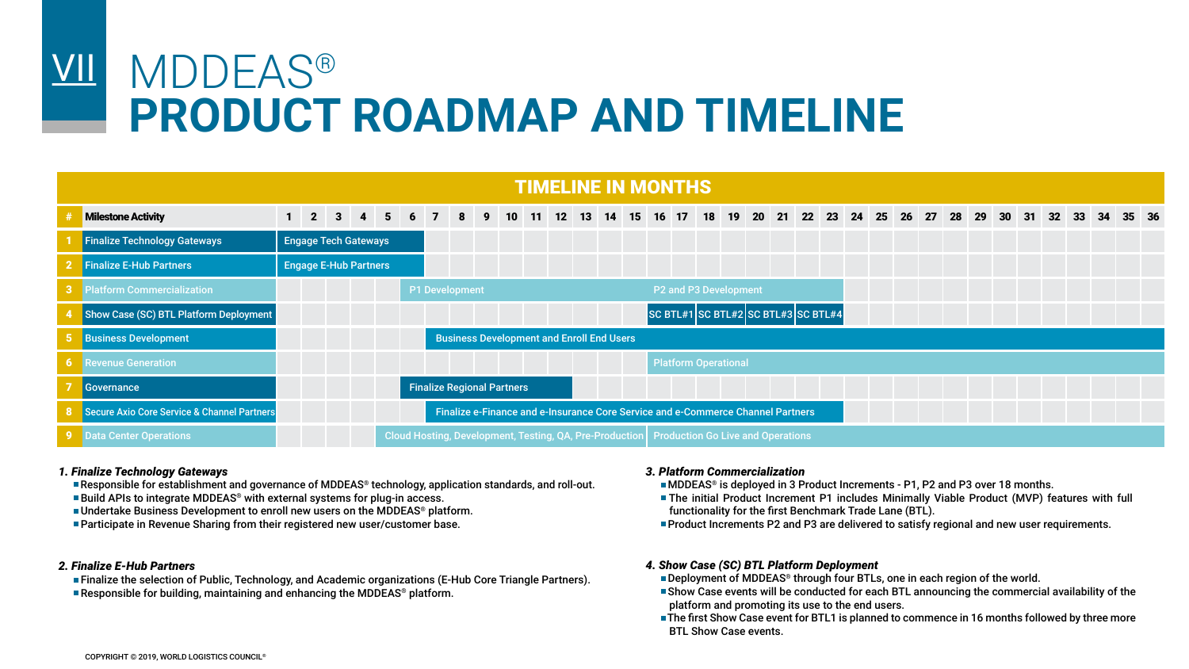### VII MDDEAS® **PRODUCT ROADMAP AND TIMELINE**

|                                               |                              |  |   |             |                                                  |    |  | <b>TIMELINE IN MONTHS</b> |  |  |                             |                                                                                             |  |  |  |  |  |  |    |       |  |
|-----------------------------------------------|------------------------------|--|---|-------------|--------------------------------------------------|----|--|---------------------------|--|--|-----------------------------|---------------------------------------------------------------------------------------------|--|--|--|--|--|--|----|-------|--|
| <b>Milestone Activity</b>                     | $1 \quad 2 \quad 3 \quad 4$  |  | 5 | $6 \quad 7$ |                                                  | 89 |  |                           |  |  |                             | 10 11 12 13 14 15 16 17 18 19 20 21 22 23 24 25 26 27 28 29 30 31 32 33                     |  |  |  |  |  |  | 34 | 35 36 |  |
| <b>Finalize Technology Gateways</b>           | <b>Engage Tech Gateways</b>  |  |   |             |                                                  |    |  |                           |  |  |                             |                                                                                             |  |  |  |  |  |  |    |       |  |
| 2 Finalize E-Hub Partners                     | <b>Engage E-Hub Partners</b> |  |   |             |                                                  |    |  |                           |  |  |                             |                                                                                             |  |  |  |  |  |  |    |       |  |
| <b>3</b> Platform Commercialization           |                              |  |   |             | P1 Development                                   |    |  |                           |  |  | P2 and P3 Development       |                                                                                             |  |  |  |  |  |  |    |       |  |
| Show Case (SC) BTL Platform Deployment        |                              |  |   |             |                                                  |    |  |                           |  |  |                             | SC BTL#1 SC BTL#2 SC BTL#3 SC BTL#4                                                         |  |  |  |  |  |  |    |       |  |
| <b>Business Development</b>                   |                              |  |   |             | <b>Business Development and Enroll End Users</b> |    |  |                           |  |  |                             |                                                                                             |  |  |  |  |  |  |    |       |  |
| <b>6</b> Revenue Generation                   |                              |  |   |             |                                                  |    |  |                           |  |  | <b>Platform Operational</b> |                                                                                             |  |  |  |  |  |  |    |       |  |
| Governance                                    |                              |  |   |             | <b>Finalize Regional Partners</b>                |    |  |                           |  |  |                             |                                                                                             |  |  |  |  |  |  |    |       |  |
| 8 Secure Axio Core Service & Channel Partners |                              |  |   |             |                                                  |    |  |                           |  |  |                             | Finalize e-Finance and e-Insurance Core Service and e-Commerce Channel Partners             |  |  |  |  |  |  |    |       |  |
| 9 Data Center Operations                      |                              |  |   |             |                                                  |    |  |                           |  |  |                             | Cloud Hosting, Development, Testing, QA, Pre-Production   Production Go Live and Operations |  |  |  |  |  |  |    |       |  |

#### *1. Finalize Technology Gateways*

• Responsible for establishment and governance of MDDEAS® technology, application standards, and roll-out. ■ Build APIs to integrate MDDEAS<sup>®</sup> with external systems for plug-in access.

• Undertake Business Development to enroll new users on the MDDEAS® platform.

**• Participate in Revenue Sharing from their registered new user/customer base.** 

#### *2. Finalize E-Hub Partners*

• Finalize the selection of Public, Technology, and Academic organizations (E-Hub Core Triangle Partners). **• Responsible for building, maintaining and enhancing the MDDEAS® platform.** 

#### *3. Platform Commercialization*

• MDDEAS® is deployed in 3 Product Increments - P1, P2 and P3 over 18 months.

- The initial Product Increment P1 includes Minimally Viable Product (MVP) features with full functionality for the first Benchmark Trade Lane (BTL).
- Product Increments P2 and P3 are delivered to satisfy regional and new user requirements.

#### *4. Show Case (SC) BTL Platform Deployment*

**• Deployment of MDDEAS<sup>®</sup> through four BTLs, one in each region of the world.** 

- Show Case events will be conducted for each BTL announcing the commercial availability of the platform and promoting its use to the end users.
- **The first Show Case event for BTL1 is planned to commence in 16 months followed by three more** BTL Show Case events.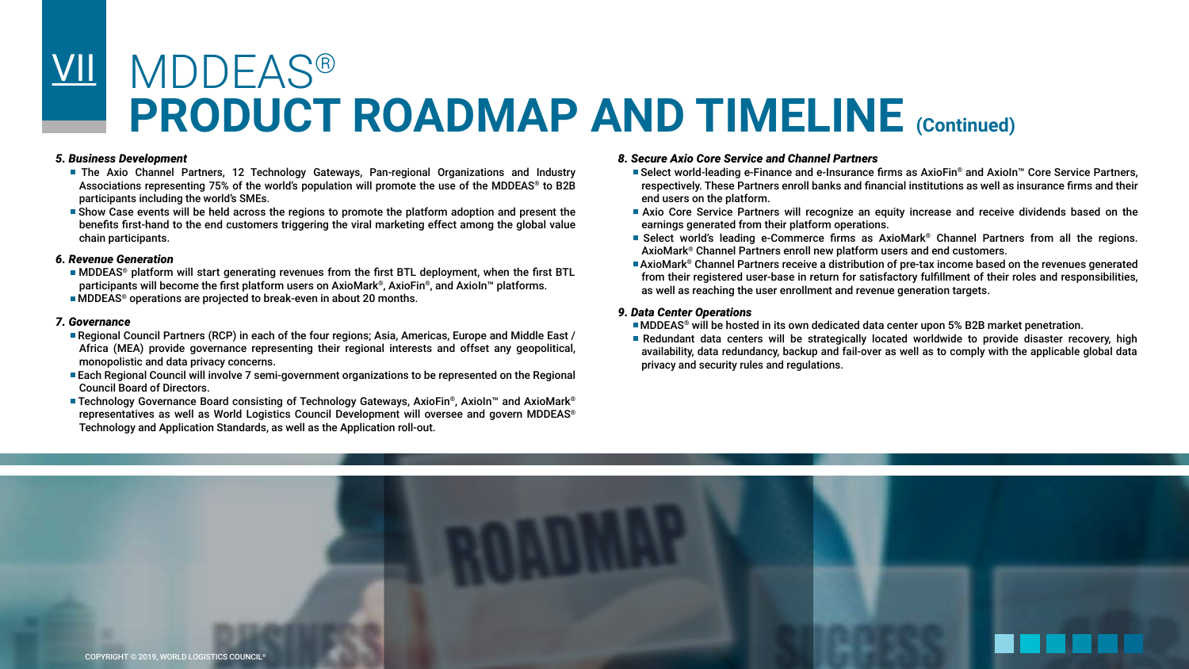### MDDEAS® **PRODUCT ROADMAP AND TIMELINE (Continued)** VII

#### *5. Business Development*

- The Axio Channel Partners, 12 Technology Gateways, Pan-regional Organizations and Industry Associations representing 75% of the world's population will promote the use of the MDDEAS® to B2B participants including the world's SMEs.
- Show Case events will be held across the regions to promote the platform adoption and present the benefits first-hand to the end customers triggering the viral marketing effect among the global value chain participants.

#### *6. Revenue Generation*

- MDDEAS® platform will start generating revenues from the first BTL deployment, when the first BTL participants will become the first platform users on AxioMark®, AxioFin®, and AxioIn™ platforms.
- MDDEAS® operations are projected to break-even in about 20 months.

#### *7. Governance*

- Regional Council Partners (RCP) in each of the four regions; Asia, Americas, Europe and Middle East / Africa (MEA) provide governance representing their regional interests and offset any geopolitical, monopolistic and data privacy concerns.
- Each Regional Council will involve 7 semi-government organizations to be represented on the Regional Council Board of Directors.
- Technology Governance Board consisting of Technology Gateways, AxioFin®, AxioIn™ and AxioMark® representatives as well as World Logistics Council Development will oversee and govern MDDEAS® Technology and Application Standards, as well as the Application roll-out.

#### *8. Secure Axio Core Service and Channel Partners*

- Select world-leading e-Finance and e-Insurance firms as AxioFin® and AxioIn™ Core Service Partners, respectively. These Partners enroll banks and financial institutions as well as insurance firms and their end users on the platform.
- Axio Core Service Partners will recognize an equity increase and receive dividends based on the earnings generated from their platform operations.
- Select world's leading e-Commerce firms as AxioMark® Channel Partners from all the regions. AxioMark® Channel Partners enroll new platform users and end customers.
- AxioMark® Channel Partners receive a distribution of pre-tax income based on the revenues generated from their registered user-base in return for satisfactory fulfillment of their roles and responsibilities, as well as reaching the user enrollment and revenue generation targets.

#### *9. Data Center Operations*

• MDDEAS® will be hosted in its own dedicated data center upon 5% B2B market penetration.

• Redundant data centers will be strategically located worldwide to provide disaster recovery, high availability, data redundancy, backup and fail-over as well as to comply with the applicable global data privacy and security rules and regulations.

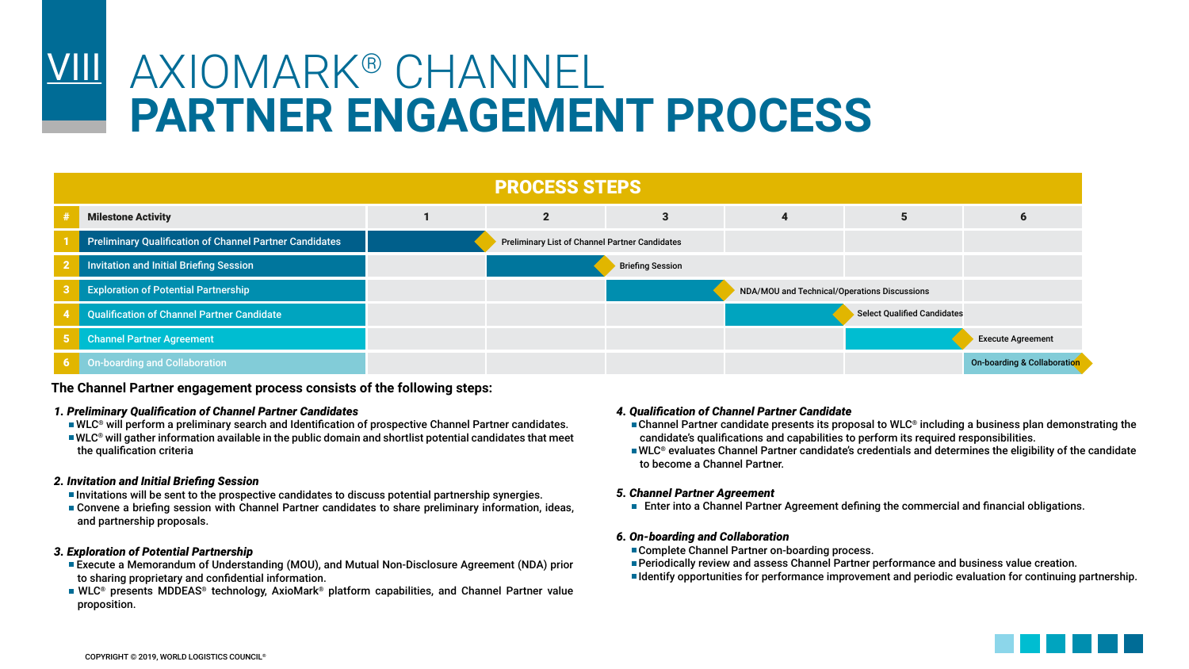### AXIOMARK® CHANNEL **PARTNER ENGAGEMENT PROCESS VIII**

| <b>PROCESS STEPS</b>                                           |  |                                                       |                         |                                              |                             |                             |  |  |  |  |  |  |  |
|----------------------------------------------------------------|--|-------------------------------------------------------|-------------------------|----------------------------------------------|-----------------------------|-----------------------------|--|--|--|--|--|--|--|
| <b>Milestone Activity</b>                                      |  |                                                       |                         | 4                                            |                             | O                           |  |  |  |  |  |  |  |
| <b>Preliminary Qualification of Channel Partner Candidates</b> |  | <b>Preliminary List of Channel Partner Candidates</b> |                         |                                              |                             |                             |  |  |  |  |  |  |  |
| Invitation and Initial Briefing Session                        |  |                                                       | <b>Briefing Session</b> |                                              |                             |                             |  |  |  |  |  |  |  |
| <b>Exploration of Potential Partnership</b>                    |  |                                                       |                         | NDA/MOU and Technical/Operations Discussions |                             |                             |  |  |  |  |  |  |  |
| <b>Qualification of Channel Partner Candidate</b>              |  |                                                       |                         |                                              | Select Qualified Candidates |                             |  |  |  |  |  |  |  |
| 5 Channel Partner Agreement                                    |  |                                                       |                         |                                              |                             | <b>Execute Agreement</b>    |  |  |  |  |  |  |  |
| 6 On-boarding and Collaboration                                |  |                                                       |                         |                                              |                             | On-boarding & Collaboration |  |  |  |  |  |  |  |

**The Channel Partner engagement process consists of the following steps:**

#### *1. Preliminary Qualification of Channel Partner Candidates*

- WLC® will perform a preliminary search and Identification of prospective Channel Partner candidates.
- WLC® will gather information available in the public domain and shortlist potential candidates that meet the qualification criteria

#### *2. Invitation and Initial Briefing Session*

- Invitations will be sent to the prospective candidates to discuss potential partnership synergies.
- Convene a briefing session with Channel Partner candidates to share preliminary information, ideas, and partnership proposals.

#### *3. Exploration of Potential Partnership*

- Execute a Memorandum of Understanding (MOU), and Mutual Non-Disclosure Agreement (NDA) prior to sharing proprietary and confidential information.
- WLC® presents MDDEAS® technology, AxioMark® platform capabilities, and Channel Partner value proposition.

#### *4. Qualification of Channel Partner Candidate*

- $\blacksquare$  Channel Partner candidate presents its proposal to WLC® including a business plan demonstrating the candidate's qualifications and capabilities to perform its required responsibilities.
- WLC® evaluates Channel Partner candidate's credentials and determines the eligibility of the candidate to become a Channel Partner.

#### *5. Channel Partner Agreement*

• Enter into a Channel Partner Agreement defining the commercial and financial obligations.

#### *6. On-boarding and Collaboration*

- Complete Channel Partner on-boarding process.
- Periodically review and assess Channel Partner performance and business value creation.
- Identify opportunities for performance improvement and periodic evaluation for continuing partnership.